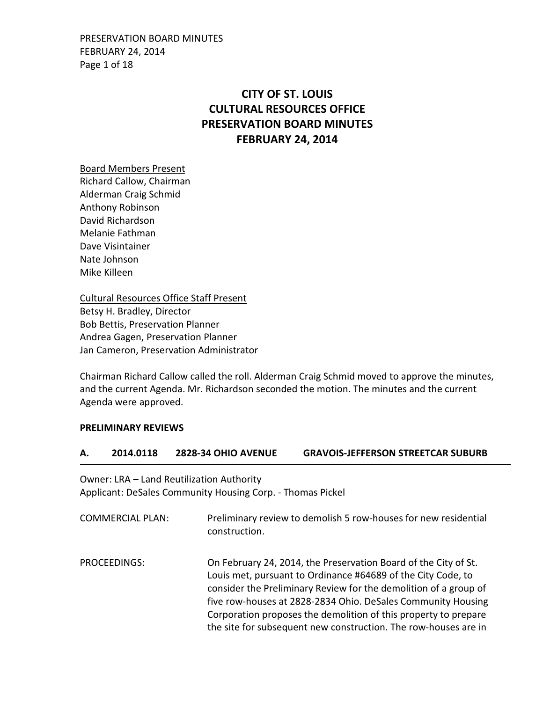PRESERVATION BOARD MINUTES FEBRUARY 24, 2014 Page 1 of 18

# **CITY OF ST. LOUIS CULTURAL RESOURCES OFFICE PRESERVATION BOARD MINUTES FEBRUARY 24, 2014**

Board Members Present Richard Callow, Chairman Alderman Craig Schmid Anthony Robinson David Richardson Melanie Fathman Dave Visintainer Nate Johnson Mike Killeen

Cultural Resources Office Staff Present Betsy H. Bradley, Director Bob Bettis, Preservation Planner Andrea Gagen, Preservation Planner Jan Cameron, Preservation Administrator

Chairman Richard Callow called the roll. Alderman Craig Schmid moved to approve the minutes, and the current Agenda. Mr. Richardson seconded the motion. The minutes and the current Agenda were approved.

#### **PRELIMINARY REVIEWS**

#### **A. 2014.0118 2828-34 OHIO AVENUE GRAVOIS-JEFFERSON STREETCAR SUBURB**

Owner: LRA – Land Reutilization Authority Applicant: DeSales Community Housing Corp. - Thomas Pickel

| <b>COMMERCIAL PLAN:</b> | Preliminary review to demolish 5 row-houses for new residential<br>construction.                                                                                                                                                                                                                                                                                                                          |
|-------------------------|-----------------------------------------------------------------------------------------------------------------------------------------------------------------------------------------------------------------------------------------------------------------------------------------------------------------------------------------------------------------------------------------------------------|
| PROCEEDINGS:            | On February 24, 2014, the Preservation Board of the City of St.<br>Louis met, pursuant to Ordinance #64689 of the City Code, to<br>consider the Preliminary Review for the demolition of a group of<br>five row-houses at 2828-2834 Ohio. DeSales Community Housing<br>Corporation proposes the demolition of this property to prepare<br>the site for subsequent new construction. The row-houses are in |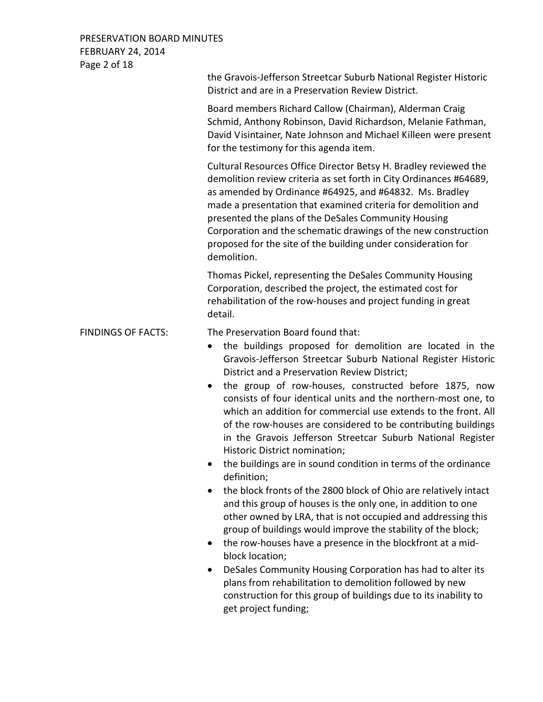## PRESERVATION BOARD MINUTES FEBRUARY 24, 2014 Page 2 of 18

|                           | the Gravois-Jefferson Streetcar Suburb National Register Historic<br>District and are in a Preservation Review District.                                                                                                                                                                                                                                                                                                                                                                                                                                                                                                                                                                                                                                                                                                                                                                                                                                                                                                                                                                                                                                                                                                                                           |
|---------------------------|--------------------------------------------------------------------------------------------------------------------------------------------------------------------------------------------------------------------------------------------------------------------------------------------------------------------------------------------------------------------------------------------------------------------------------------------------------------------------------------------------------------------------------------------------------------------------------------------------------------------------------------------------------------------------------------------------------------------------------------------------------------------------------------------------------------------------------------------------------------------------------------------------------------------------------------------------------------------------------------------------------------------------------------------------------------------------------------------------------------------------------------------------------------------------------------------------------------------------------------------------------------------|
|                           | Board members Richard Callow (Chairman), Alderman Craig<br>Schmid, Anthony Robinson, David Richardson, Melanie Fathman,<br>David Visintainer, Nate Johnson and Michael Killeen were present<br>for the testimony for this agenda item.                                                                                                                                                                                                                                                                                                                                                                                                                                                                                                                                                                                                                                                                                                                                                                                                                                                                                                                                                                                                                             |
|                           | Cultural Resources Office Director Betsy H. Bradley reviewed the<br>demolition review criteria as set forth in City Ordinances #64689,<br>as amended by Ordinance #64925, and #64832. Ms. Bradley<br>made a presentation that examined criteria for demolition and<br>presented the plans of the DeSales Community Housing<br>Corporation and the schematic drawings of the new construction<br>proposed for the site of the building under consideration for<br>demolition.                                                                                                                                                                                                                                                                                                                                                                                                                                                                                                                                                                                                                                                                                                                                                                                       |
|                           | Thomas Pickel, representing the DeSales Community Housing<br>Corporation, described the project, the estimated cost for<br>rehabilitation of the row-houses and project funding in great<br>detail.                                                                                                                                                                                                                                                                                                                                                                                                                                                                                                                                                                                                                                                                                                                                                                                                                                                                                                                                                                                                                                                                |
| <b>FINDINGS OF FACTS:</b> | The Preservation Board found that:<br>the buildings proposed for demolition are located in the<br>$\bullet$<br>Gravois-Jefferson Streetcar Suburb National Register Historic<br>District and a Preservation Review District;<br>the group of row-houses, constructed before 1875, now<br>consists of four identical units and the northern-most one, to<br>which an addition for commercial use extends to the front. All<br>of the row-houses are considered to be contributing buildings<br>in the Gravois Jefferson Streetcar Suburb National Register<br>Historic District nomination;<br>the buildings are in sound condition in terms of the ordinance<br>definition;<br>the block fronts of the 2800 block of Ohio are relatively intact<br>and this group of houses is the only one, in addition to one<br>other owned by LRA, that is not occupied and addressing this<br>group of buildings would improve the stability of the block;<br>the row-houses have a presence in the blockfront at a mid-<br>$\bullet$<br>block location;<br>DeSales Community Housing Corporation has had to alter its<br>plans from rehabilitation to demolition followed by new<br>construction for this group of buildings due to its inability to<br>get project funding; |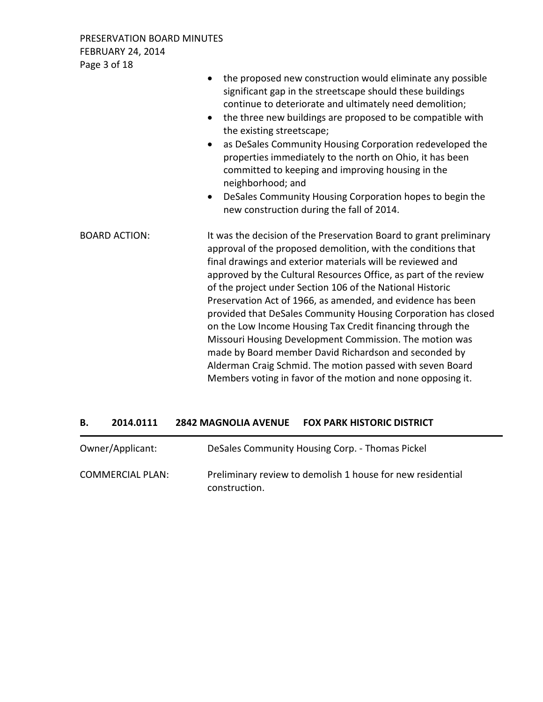PRESERVATION BOARD MINUTES FEBRUARY 24, 2014 Page 3 of 18

|                      | the proposed new construction would eliminate any possible<br>$\bullet$<br>significant gap in the streetscape should these buildings<br>continue to deteriorate and ultimately need demolition;<br>the three new buildings are proposed to be compatible with<br>$\bullet$<br>the existing streetscape;<br>as DeSales Community Housing Corporation redeveloped the<br>$\bullet$<br>properties immediately to the north on Ohio, it has been<br>committed to keeping and improving housing in the<br>neighborhood; and<br>DeSales Community Housing Corporation hopes to begin the<br>$\bullet$<br>new construction during the fall of 2014.                                                                                                                                      |
|----------------------|-----------------------------------------------------------------------------------------------------------------------------------------------------------------------------------------------------------------------------------------------------------------------------------------------------------------------------------------------------------------------------------------------------------------------------------------------------------------------------------------------------------------------------------------------------------------------------------------------------------------------------------------------------------------------------------------------------------------------------------------------------------------------------------|
| <b>BOARD ACTION:</b> | It was the decision of the Preservation Board to grant preliminary<br>approval of the proposed demolition, with the conditions that<br>final drawings and exterior materials will be reviewed and<br>approved by the Cultural Resources Office, as part of the review<br>of the project under Section 106 of the National Historic<br>Preservation Act of 1966, as amended, and evidence has been<br>provided that DeSales Community Housing Corporation has closed<br>on the Low Income Housing Tax Credit financing through the<br>Missouri Housing Development Commission. The motion was<br>made by Board member David Richardson and seconded by<br>Alderman Craig Schmid. The motion passed with seven Board<br>Members voting in favor of the motion and none opposing it. |

## **B. 2014.0111 2842 MAGNOLIA AVENUE FOX PARK HISTORIC DISTRICT**

| Owner/Applicant:        | DeSales Community Housing Corp. - Thomas Pickel                             |
|-------------------------|-----------------------------------------------------------------------------|
| <b>COMMERCIAL PLAN:</b> | Preliminary review to demolish 1 house for new residential<br>construction. |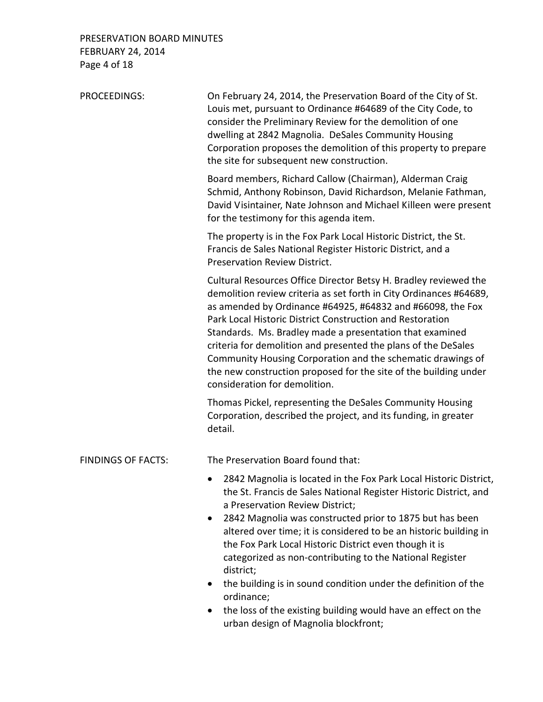## PRESERVATION BOARD MINUTES FEBRUARY 24, 2014 Page 4 of 18

| <b>PROCEEDINGS:</b>       | On February 24, 2014, the Preservation Board of the City of St.<br>Louis met, pursuant to Ordinance #64689 of the City Code, to<br>consider the Preliminary Review for the demolition of one<br>dwelling at 2842 Magnolia. DeSales Community Housing<br>Corporation proposes the demolition of this property to prepare<br>the site for subsequent new construction.                                                                                                                                                                                                |
|---------------------------|---------------------------------------------------------------------------------------------------------------------------------------------------------------------------------------------------------------------------------------------------------------------------------------------------------------------------------------------------------------------------------------------------------------------------------------------------------------------------------------------------------------------------------------------------------------------|
|                           | Board members, Richard Callow (Chairman), Alderman Craig<br>Schmid, Anthony Robinson, David Richardson, Melanie Fathman,<br>David Visintainer, Nate Johnson and Michael Killeen were present<br>for the testimony for this agenda item.                                                                                                                                                                                                                                                                                                                             |
|                           | The property is in the Fox Park Local Historic District, the St.<br>Francis de Sales National Register Historic District, and a<br><b>Preservation Review District.</b>                                                                                                                                                                                                                                                                                                                                                                                             |
|                           | Cultural Resources Office Director Betsy H. Bradley reviewed the<br>demolition review criteria as set forth in City Ordinances #64689,<br>as amended by Ordinance #64925, #64832 and #66098, the Fox<br>Park Local Historic District Construction and Restoration<br>Standards. Ms. Bradley made a presentation that examined<br>criteria for demolition and presented the plans of the DeSales<br>Community Housing Corporation and the schematic drawings of<br>the new construction proposed for the site of the building under<br>consideration for demolition. |
|                           | Thomas Pickel, representing the DeSales Community Housing<br>Corporation, described the project, and its funding, in greater<br>detail.                                                                                                                                                                                                                                                                                                                                                                                                                             |
| <b>FINDINGS OF FACTS:</b> | The Preservation Board found that:                                                                                                                                                                                                                                                                                                                                                                                                                                                                                                                                  |
|                           | 2842 Magnolia is located in the Fox Park Local Historic District,<br>the St. Francis de Sales National Register Historic District, and<br>a Preservation Review District;<br>2842 Magnolia was constructed prior to 1875 but has been<br>$\bullet$<br>altered over time; it is considered to be an historic building in<br>the Fox Park Local Historic District even though it is<br>categorized as non-contributing to the National Register<br>district;<br>the building is in sound condition under the definition of the<br>ordinance;                          |

• the loss of the existing building would have an effect on the urban design of Magnolia blockfront;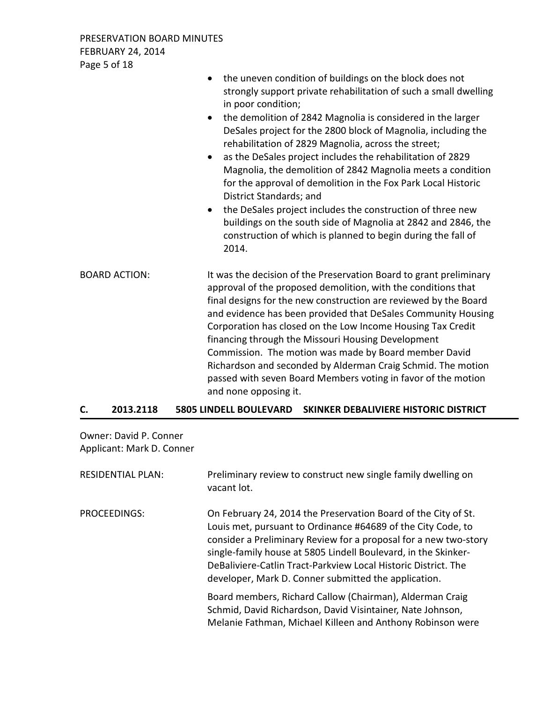PRESERVATION BOARD MINUTES FEBRUARY 24, 2014 Page 5 of 18

|                      | the uneven condition of buildings on the block does not<br>$\bullet$<br>strongly support private rehabilitation of such a small dwelling<br>in poor condition;<br>the demolition of 2842 Magnolia is considered in the larger<br>$\bullet$<br>DeSales project for the 2800 block of Magnolia, including the<br>rehabilitation of 2829 Magnolia, across the street;<br>as the DeSales project includes the rehabilitation of 2829<br>$\bullet$<br>Magnolia, the demolition of 2842 Magnolia meets a condition<br>for the approval of demolition in the Fox Park Local Historic<br>District Standards; and<br>the DeSales project includes the construction of three new<br>$\bullet$<br>buildings on the south side of Magnolia at 2842 and 2846, the<br>construction of which is planned to begin during the fall of<br>2014. |
|----------------------|-------------------------------------------------------------------------------------------------------------------------------------------------------------------------------------------------------------------------------------------------------------------------------------------------------------------------------------------------------------------------------------------------------------------------------------------------------------------------------------------------------------------------------------------------------------------------------------------------------------------------------------------------------------------------------------------------------------------------------------------------------------------------------------------------------------------------------|
| <b>BOARD ACTION:</b> | It was the decision of the Preservation Board to grant preliminary<br>approval of the proposed demolition, with the conditions that<br>final designs for the new construction are reviewed by the Board<br>and evidence has been provided that DeSales Community Housing<br>Corporation has closed on the Low Income Housing Tax Credit<br>financing through the Missouri Housing Development<br>Commission. The motion was made by Board member David<br>Richardson and seconded by Alderman Craig Schmid. The motion<br>passed with seven Board Members voting in favor of the motion<br>and none opposing it.                                                                                                                                                                                                              |

## **C. 2013.2118 5805 LINDELL BOULEVARD SKINKER DEBALIVIERE HISTORIC DISTRICT**

Owner: David P. Conner Applicant: Mark D. Conner

| <b>RESIDENTIAL PLAN:</b> | Preliminary review to construct new single family dwelling on<br>vacant lot.                                                                                                                                                                                                                                                                                                                   |
|--------------------------|------------------------------------------------------------------------------------------------------------------------------------------------------------------------------------------------------------------------------------------------------------------------------------------------------------------------------------------------------------------------------------------------|
| PROCEEDINGS:             | On February 24, 2014 the Preservation Board of the City of St.<br>Louis met, pursuant to Ordinance #64689 of the City Code, to<br>consider a Preliminary Review for a proposal for a new two-story<br>single-family house at 5805 Lindell Boulevard, in the Skinker-<br>DeBaliviere-Catlin Tract-Parkview Local Historic District. The<br>developer, Mark D. Conner submitted the application. |
|                          | Board members, Richard Callow (Chairman), Alderman Craig<br>Schmid, David Richardson, David Visintainer, Nate Johnson,<br>Melanie Fathman, Michael Killeen and Anthony Robinson were                                                                                                                                                                                                           |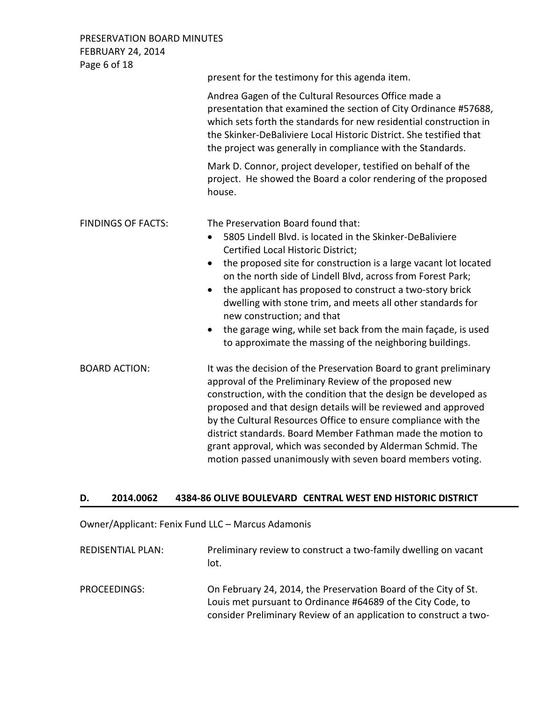PRESERVATION BOARD MINUTES FEBRUARY 24, 2014 Page 6 of 18

|                           | present for the testimony for this agenda item.                                                                                                                                                                                                                                                                                                                                                                                                                                                                                                                                                                    |
|---------------------------|--------------------------------------------------------------------------------------------------------------------------------------------------------------------------------------------------------------------------------------------------------------------------------------------------------------------------------------------------------------------------------------------------------------------------------------------------------------------------------------------------------------------------------------------------------------------------------------------------------------------|
|                           | Andrea Gagen of the Cultural Resources Office made a<br>presentation that examined the section of City Ordinance #57688,<br>which sets forth the standards for new residential construction in<br>the Skinker-DeBaliviere Local Historic District. She testified that<br>the project was generally in compliance with the Standards.                                                                                                                                                                                                                                                                               |
|                           | Mark D. Connor, project developer, testified on behalf of the<br>project. He showed the Board a color rendering of the proposed<br>house.                                                                                                                                                                                                                                                                                                                                                                                                                                                                          |
| <b>FINDINGS OF FACTS:</b> | The Preservation Board found that:<br>5805 Lindell Blvd. is located in the Skinker-DeBaliviere<br>$\bullet$<br>Certified Local Historic District;<br>the proposed site for construction is a large vacant lot located<br>$\bullet$<br>on the north side of Lindell Blvd, across from Forest Park;<br>the applicant has proposed to construct a two-story brick<br>$\bullet$<br>dwelling with stone trim, and meets all other standards for<br>new construction; and that<br>the garage wing, while set back from the main façade, is used<br>$\bullet$<br>to approximate the massing of the neighboring buildings. |
| <b>BOARD ACTION:</b>      | It was the decision of the Preservation Board to grant preliminary<br>approval of the Preliminary Review of the proposed new<br>construction, with the condition that the design be developed as<br>proposed and that design details will be reviewed and approved<br>by the Cultural Resources Office to ensure compliance with the<br>district standards. Board Member Fathman made the motion to<br>grant approval, which was seconded by Alderman Schmid. The<br>motion passed unanimously with seven board members voting.                                                                                    |

## **D. 2014.0062 4384-86 OLIVE BOULEVARD CENTRAL WEST END HISTORIC DISTRICT**

Owner/Applicant: Fenix Fund LLC – Marcus Adamonis

| <b>REDISENTIAL PLAN:</b> | Preliminary review to construct a two-family dwelling on vacant<br>lot. |
|--------------------------|-------------------------------------------------------------------------|
| <b>PROCEFDINGS:</b>      | On February 24, 2014, the Preservation Board of the City of St.         |

PROCEEDINGS: On February 24, 2014, the Preservation Board of the City of St. Louis met pursuant to Ordinance #64689 of the City Code, to consider Preliminary Review of an application to construct a two-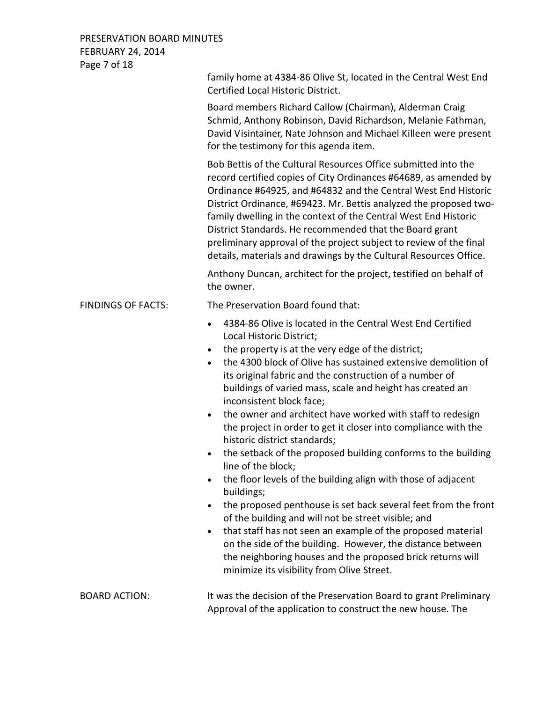## PRESERVATION BOARD MINUTES FEBRUARY 24, 2014 Page 7 of 18

|                           | family home at 4384-86 Olive St, located in the Central West End<br>Certified Local Historic District.                                                                                                                                                                                                                                                                                                                                                                                                                                                                                                                                                                                                                                                                                                                                                                                                                                                                                                                                                                                                                                                                           |
|---------------------------|----------------------------------------------------------------------------------------------------------------------------------------------------------------------------------------------------------------------------------------------------------------------------------------------------------------------------------------------------------------------------------------------------------------------------------------------------------------------------------------------------------------------------------------------------------------------------------------------------------------------------------------------------------------------------------------------------------------------------------------------------------------------------------------------------------------------------------------------------------------------------------------------------------------------------------------------------------------------------------------------------------------------------------------------------------------------------------------------------------------------------------------------------------------------------------|
|                           | Board members Richard Callow (Chairman), Alderman Craig<br>Schmid, Anthony Robinson, David Richardson, Melanie Fathman,<br>David Visintainer, Nate Johnson and Michael Killeen were present<br>for the testimony for this agenda item.                                                                                                                                                                                                                                                                                                                                                                                                                                                                                                                                                                                                                                                                                                                                                                                                                                                                                                                                           |
|                           | Bob Bettis of the Cultural Resources Office submitted into the<br>record certified copies of City Ordinances #64689, as amended by<br>Ordinance #64925, and #64832 and the Central West End Historic<br>District Ordinance, #69423. Mr. Bettis analyzed the proposed two-<br>family dwelling in the context of the Central West End Historic<br>District Standards. He recommended that the Board grant<br>preliminary approval of the project subject to review of the final<br>details, materials and drawings by the Cultural Resources Office.                                                                                                                                                                                                                                                                                                                                                                                                                                                                                                                                                                                                                               |
|                           | Anthony Duncan, architect for the project, testified on behalf of<br>the owner.                                                                                                                                                                                                                                                                                                                                                                                                                                                                                                                                                                                                                                                                                                                                                                                                                                                                                                                                                                                                                                                                                                  |
| <b>FINDINGS OF FACTS:</b> | The Preservation Board found that:                                                                                                                                                                                                                                                                                                                                                                                                                                                                                                                                                                                                                                                                                                                                                                                                                                                                                                                                                                                                                                                                                                                                               |
|                           | 4384-86 Olive is located in the Central West End Certified<br>$\bullet$<br>Local Historic District;<br>the property is at the very edge of the district;<br>$\bullet$<br>the 4300 block of Olive has sustained extensive demolition of<br>$\bullet$<br>its original fabric and the construction of a number of<br>buildings of varied mass, scale and height has created an<br>inconsistent block face;<br>the owner and architect have worked with staff to redesign<br>$\bullet$<br>the project in order to get it closer into compliance with the<br>historic district standards;<br>the setback of the proposed building conforms to the building<br>$\bullet$<br>line of the block;<br>the floor levels of the building align with those of adjacent<br>$\bullet$<br>buildings;<br>the proposed penthouse is set back several feet from the front<br>$\bullet$<br>of the building and will not be street visible; and<br>that staff has not seen an example of the proposed material<br>$\bullet$<br>on the side of the building. However, the distance between<br>the neighboring houses and the proposed brick returns will<br>minimize its visibility from Olive Street. |
| <b>BOARD ACTION:</b>      | It was the decision of the Preservation Board to grant Preliminary<br>Approval of the application to construct the new house. The                                                                                                                                                                                                                                                                                                                                                                                                                                                                                                                                                                                                                                                                                                                                                                                                                                                                                                                                                                                                                                                |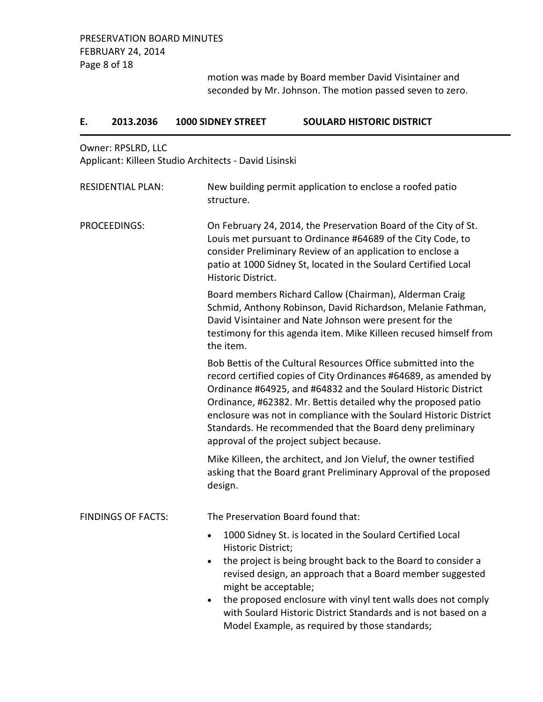motion was made by Board member David Visintainer and seconded by Mr. Johnson. The motion passed seven to zero.

| Ε.                  | 2013.2036                 | 1000 SIDNEY STREET                                                                | <b>SOULARD HISTORIC DISTRICT</b>                                                                                                                                                                                                                                                                                                                                                                                                                     |
|---------------------|---------------------------|-----------------------------------------------------------------------------------|------------------------------------------------------------------------------------------------------------------------------------------------------------------------------------------------------------------------------------------------------------------------------------------------------------------------------------------------------------------------------------------------------------------------------------------------------|
|                     | Owner: RPSLRD, LLC        | Applicant: Killeen Studio Architects - David Lisinski                             |                                                                                                                                                                                                                                                                                                                                                                                                                                                      |
|                     | <b>RESIDENTIAL PLAN:</b>  | structure.                                                                        | New building permit application to enclose a roofed patio                                                                                                                                                                                                                                                                                                                                                                                            |
| <b>PROCEEDINGS:</b> |                           | Historic District.                                                                | On February 24, 2014, the Preservation Board of the City of St.<br>Louis met pursuant to Ordinance #64689 of the City Code, to<br>consider Preliminary Review of an application to enclose a<br>patio at 1000 Sidney St, located in the Soulard Certified Local                                                                                                                                                                                      |
|                     |                           | the item.                                                                         | Board members Richard Callow (Chairman), Alderman Craig<br>Schmid, Anthony Robinson, David Richardson, Melanie Fathman,<br>David Visintainer and Nate Johnson were present for the<br>testimony for this agenda item. Mike Killeen recused himself from                                                                                                                                                                                              |
|                     |                           |                                                                                   | Bob Bettis of the Cultural Resources Office submitted into the<br>record certified copies of City Ordinances #64689, as amended by<br>Ordinance #64925, and #64832 and the Soulard Historic District<br>Ordinance, #62382. Mr. Bettis detailed why the proposed patio<br>enclosure was not in compliance with the Soulard Historic District<br>Standards. He recommended that the Board deny preliminary<br>approval of the project subject because. |
|                     |                           | design.                                                                           | Mike Killeen, the architect, and Jon Vieluf, the owner testified<br>asking that the Board grant Preliminary Approval of the proposed                                                                                                                                                                                                                                                                                                                 |
|                     | <b>FINDINGS OF FACTS:</b> |                                                                                   | The Preservation Board found that:                                                                                                                                                                                                                                                                                                                                                                                                                   |
|                     |                           | $\bullet$<br>Historic District;<br>$\bullet$<br>might be acceptable;<br>$\bullet$ | 1000 Sidney St. is located in the Soulard Certified Local<br>the project is being brought back to the Board to consider a<br>revised design, an approach that a Board member suggested<br>the proposed enclosure with vinyl tent walls does not comply<br>with Soulard Historic District Standards and is not based on a<br>Model Example, as required by those standards;                                                                           |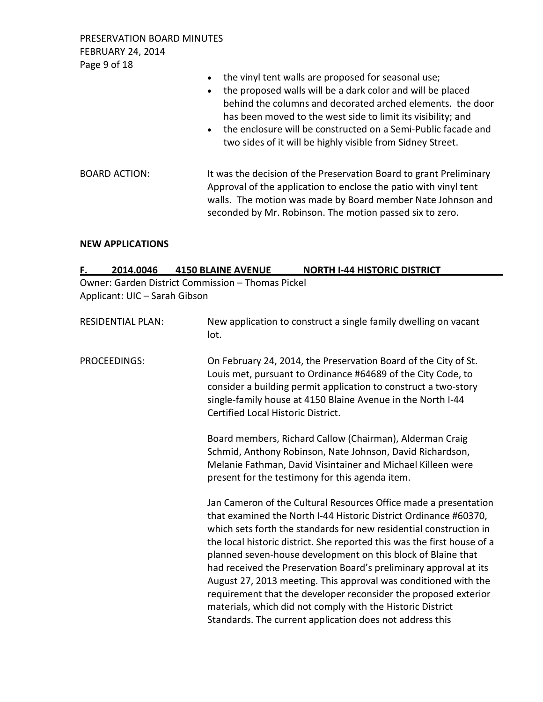PRESERVATION BOARD MINUTES FEBRUARY 24, 2014 Page 9 of 18

- the vinyl tent walls are proposed for seasonal use;
- the proposed walls will be a dark color and will be placed behind the columns and decorated arched elements. the door has been moved to the west side to limit its visibility; and
- the enclosure will be constructed on a Semi-Public facade and two sides of it will be highly visible from Sidney Street.
- BOARD ACTION: It was the decision of the Preservation Board to grant Preliminary Approval of the application to enclose the patio with vinyl tent walls. The motion was made by Board member Nate Johnson and seconded by Mr. Robinson. The motion passed six to zero.

#### **NEW APPLICATIONS**

| 2014.0046<br>F.               | <b>4150 BLAINE AVENUE</b><br><b>NORTH I-44 HISTORIC DISTRICT</b>                                                                                                                                                                                                                                                                                                                                                                                                                                                                                                                                                                                                                           |
|-------------------------------|--------------------------------------------------------------------------------------------------------------------------------------------------------------------------------------------------------------------------------------------------------------------------------------------------------------------------------------------------------------------------------------------------------------------------------------------------------------------------------------------------------------------------------------------------------------------------------------------------------------------------------------------------------------------------------------------|
|                               | Owner: Garden District Commission - Thomas Pickel                                                                                                                                                                                                                                                                                                                                                                                                                                                                                                                                                                                                                                          |
| Applicant: UIC - Sarah Gibson |                                                                                                                                                                                                                                                                                                                                                                                                                                                                                                                                                                                                                                                                                            |
| <b>RESIDENTIAL PLAN:</b>      | New application to construct a single family dwelling on vacant<br>lot.                                                                                                                                                                                                                                                                                                                                                                                                                                                                                                                                                                                                                    |
| PROCEEDINGS:                  | On February 24, 2014, the Preservation Board of the City of St.<br>Louis met, pursuant to Ordinance #64689 of the City Code, to<br>consider a building permit application to construct a two-story<br>single-family house at 4150 Blaine Avenue in the North I-44<br>Certified Local Historic District.                                                                                                                                                                                                                                                                                                                                                                                    |
|                               | Board members, Richard Callow (Chairman), Alderman Craig<br>Schmid, Anthony Robinson, Nate Johnson, David Richardson,<br>Melanie Fathman, David Visintainer and Michael Killeen were<br>present for the testimony for this agenda item.                                                                                                                                                                                                                                                                                                                                                                                                                                                    |
|                               | Jan Cameron of the Cultural Resources Office made a presentation<br>that examined the North I-44 Historic District Ordinance #60370,<br>which sets forth the standards for new residential construction in<br>the local historic district. She reported this was the first house of a<br>planned seven-house development on this block of Blaine that<br>had received the Preservation Board's preliminary approval at its<br>August 27, 2013 meeting. This approval was conditioned with the<br>requirement that the developer reconsider the proposed exterior<br>materials, which did not comply with the Historic District<br>Standards. The current application does not address this |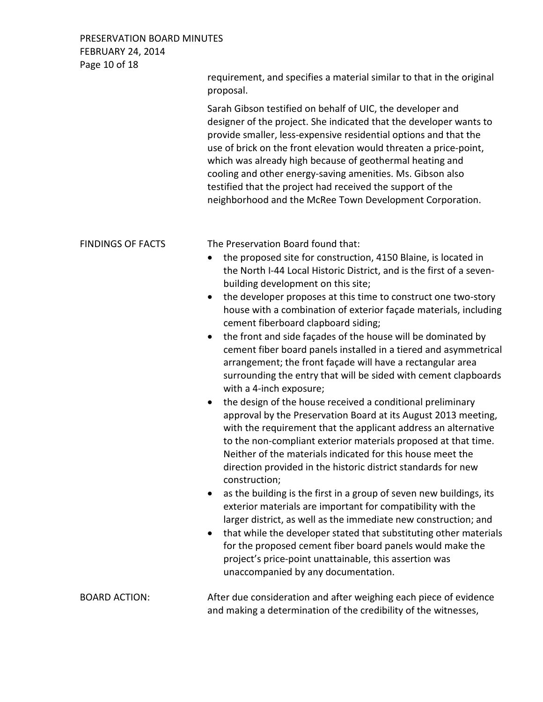## PRESERVATION BOARD MINUTES FEBRUARY 24, 2014 Page 10 of 18

|                          | requirement, and specifies a material similar to that in the original<br>proposal.                                                                                                                                                                                                                                                                                                                                                                                                                                                                                                                                                                                                                                                                                                                                                                                                                                                                                                                                                                                                                                                                                                                                                                                                                                                                                                                                                                                                                                                                                                        |
|--------------------------|-------------------------------------------------------------------------------------------------------------------------------------------------------------------------------------------------------------------------------------------------------------------------------------------------------------------------------------------------------------------------------------------------------------------------------------------------------------------------------------------------------------------------------------------------------------------------------------------------------------------------------------------------------------------------------------------------------------------------------------------------------------------------------------------------------------------------------------------------------------------------------------------------------------------------------------------------------------------------------------------------------------------------------------------------------------------------------------------------------------------------------------------------------------------------------------------------------------------------------------------------------------------------------------------------------------------------------------------------------------------------------------------------------------------------------------------------------------------------------------------------------------------------------------------------------------------------------------------|
|                          | Sarah Gibson testified on behalf of UIC, the developer and<br>designer of the project. She indicated that the developer wants to<br>provide smaller, less-expensive residential options and that the<br>use of brick on the front elevation would threaten a price-point,<br>which was already high because of geothermal heating and<br>cooling and other energy-saving amenities. Ms. Gibson also<br>testified that the project had received the support of the<br>neighborhood and the McRee Town Development Corporation.                                                                                                                                                                                                                                                                                                                                                                                                                                                                                                                                                                                                                                                                                                                                                                                                                                                                                                                                                                                                                                                             |
| <b>FINDINGS OF FACTS</b> | The Preservation Board found that:<br>the proposed site for construction, 4150 Blaine, is located in<br>$\bullet$<br>the North I-44 Local Historic District, and is the first of a seven-<br>building development on this site;<br>the developer proposes at this time to construct one two-story<br>house with a combination of exterior façade materials, including<br>cement fiberboard clapboard siding;<br>the front and side façades of the house will be dominated by<br>cement fiber board panels installed in a tiered and asymmetrical<br>arrangement; the front façade will have a rectangular area<br>surrounding the entry that will be sided with cement clapboards<br>with a 4-inch exposure;<br>the design of the house received a conditional preliminary<br>$\bullet$<br>approval by the Preservation Board at its August 2013 meeting,<br>with the requirement that the applicant address an alternative<br>to the non-compliant exterior materials proposed at that time.<br>Neither of the materials indicated for this house meet the<br>direction provided in the historic district standards for new<br>construction;<br>as the building is the first in a group of seven new buildings, its<br>exterior materials are important for compatibility with the<br>larger district, as well as the immediate new construction; and<br>that while the developer stated that substituting other materials<br>for the proposed cement fiber board panels would make the<br>project's price-point unattainable, this assertion was<br>unaccompanied by any documentation. |
| <b>BOARD ACTION:</b>     | After due consideration and after weighing each piece of evidence<br>and making a determination of the credibility of the witnesses,                                                                                                                                                                                                                                                                                                                                                                                                                                                                                                                                                                                                                                                                                                                                                                                                                                                                                                                                                                                                                                                                                                                                                                                                                                                                                                                                                                                                                                                      |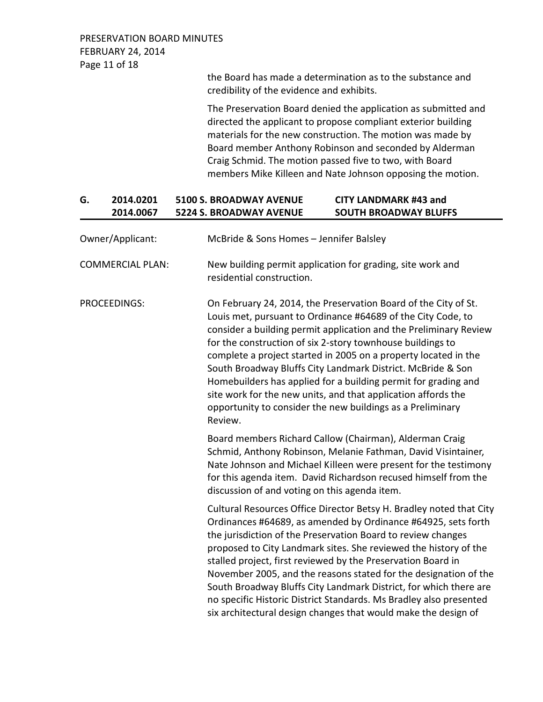the Board has made a determination as to the substance and credibility of the evidence and exhibits.

The Preservation Board denied the application as submitted and directed the applicant to propose compliant exterior building materials for the new construction. The motion was made by Board member Anthony Robinson and seconded by Alderman Craig Schmid. The motion passed five to two, with Board members Mike Killeen and Nate Johnson opposing the motion.

## **G. 2014.0201 5100 S. BROADWAY AVENUE CITY LANDMARK #43 and 2014.0067 5224 S. BROADWAY AVENUE SOUTH BROADWAY BLUFFS**

| Owner/Applicant:        | McBride & Sons Homes - Jennifer Balsley                                                                                                                                                                                                                                                                                                                                                                                                                                                                                                                                                                                   |
|-------------------------|---------------------------------------------------------------------------------------------------------------------------------------------------------------------------------------------------------------------------------------------------------------------------------------------------------------------------------------------------------------------------------------------------------------------------------------------------------------------------------------------------------------------------------------------------------------------------------------------------------------------------|
| <b>COMMERCIAL PLAN:</b> | New building permit application for grading, site work and<br>residential construction.                                                                                                                                                                                                                                                                                                                                                                                                                                                                                                                                   |
| PROCEEDINGS:            | On February 24, 2014, the Preservation Board of the City of St.<br>Louis met, pursuant to Ordinance #64689 of the City Code, to<br>consider a building permit application and the Preliminary Review<br>for the construction of six 2-story townhouse buildings to<br>complete a project started in 2005 on a property located in the<br>South Broadway Bluffs City Landmark District. McBride & Son<br>Homebuilders has applied for a building permit for grading and<br>site work for the new units, and that application affords the<br>opportunity to consider the new buildings as a Preliminary<br>Review.          |
|                         | Board members Richard Callow (Chairman), Alderman Craig<br>Schmid, Anthony Robinson, Melanie Fathman, David Visintainer,<br>Nate Johnson and Michael Killeen were present for the testimony<br>for this agenda item. David Richardson recused himself from the<br>discussion of and voting on this agenda item.                                                                                                                                                                                                                                                                                                           |
|                         | Cultural Resources Office Director Betsy H. Bradley noted that City<br>Ordinances #64689, as amended by Ordinance #64925, sets forth<br>the jurisdiction of the Preservation Board to review changes<br>proposed to City Landmark sites. She reviewed the history of the<br>stalled project, first reviewed by the Preservation Board in<br>November 2005, and the reasons stated for the designation of the<br>South Broadway Bluffs City Landmark District, for which there are<br>no specific Historic District Standards. Ms Bradley also presented<br>six architectural design changes that would make the design of |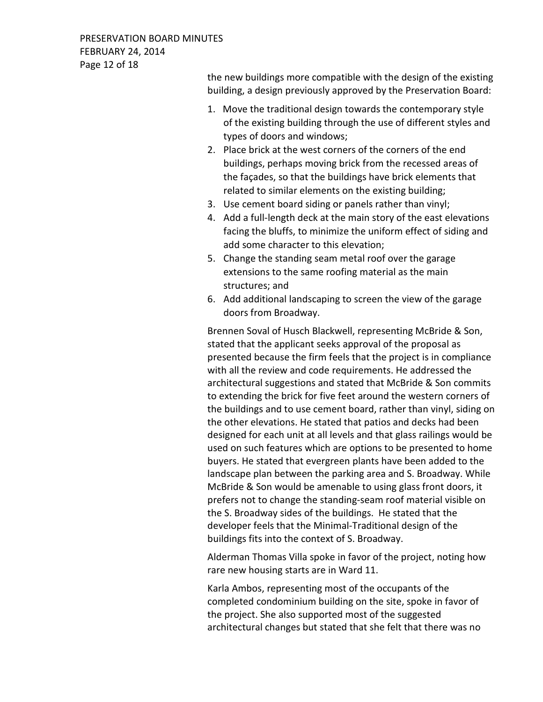PRESERVATION BOARD MINUTES FEBRUARY 24, 2014 Page 12 of 18

> the new buildings more compatible with the design of the existing building, a design previously approved by the Preservation Board:

- 1. Move the traditional design towards the contemporary style of the existing building through the use of different styles and types of doors and windows;
- 2. Place brick at the west corners of the corners of the end buildings, perhaps moving brick from the recessed areas of the façades, so that the buildings have brick elements that related to similar elements on the existing building;
- 3. Use cement board siding or panels rather than vinyl;
- 4. Add a full-length deck at the main story of the east elevations facing the bluffs, to minimize the uniform effect of siding and add some character to this elevation;
- 5. Change the standing seam metal roof over the garage extensions to the same roofing material as the main structures; and
- 6. Add additional landscaping to screen the view of the garage doors from Broadway.

Brennen Soval of Husch Blackwell, representing McBride & Son, stated that the applicant seeks approval of the proposal as presented because the firm feels that the project is in compliance with all the review and code requirements. He addressed the architectural suggestions and stated that McBride & Son commits to extending the brick for five feet around the western corners of the buildings and to use cement board, rather than vinyl, siding on the other elevations. He stated that patios and decks had been designed for each unit at all levels and that glass railings would be used on such features which are options to be presented to home buyers. He stated that evergreen plants have been added to the landscape plan between the parking area and S. Broadway. While McBride & Son would be amenable to using glass front doors, it prefers not to change the standing-seam roof material visible on the S. Broadway sides of the buildings. He stated that the developer feels that the Minimal-Traditional design of the buildings fits into the context of S. Broadway.

Alderman Thomas Villa spoke in favor of the project, noting how rare new housing starts are in Ward 11.

Karla Ambos, representing most of the occupants of the completed condominium building on the site, spoke in favor of the project. She also supported most of the suggested architectural changes but stated that she felt that there was no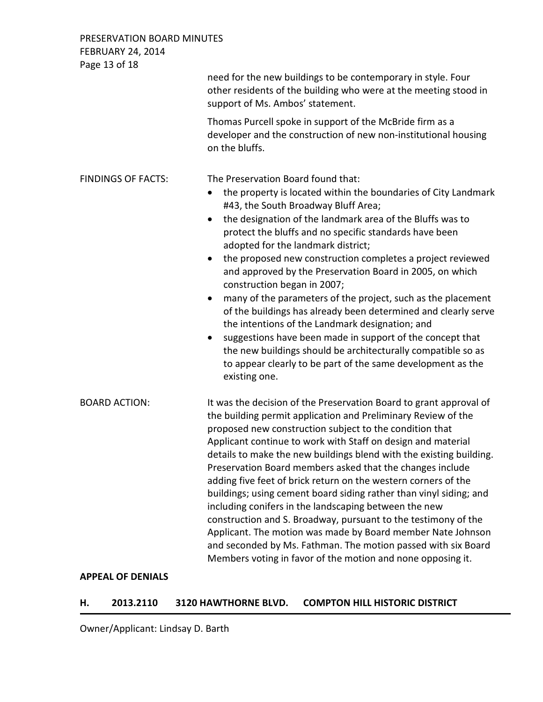PRESERVATION BOARD MINUTES FEBRUARY 24, 2014 Page 13 of 18 need for the new buildings to be contemporary in style. Four other residents of the building who were at the meeting stood in support of Ms. Ambos' statement. Thomas Purcell spoke in support of the McBride firm as a developer and the construction of new non-institutional housing on the bluffs. FINDINGS OF FACTS: The Preservation Board found that: • the property is located within the boundaries of City Landmark #43, the South Broadway Bluff Area; • the designation of the landmark area of the Bluffs was to protect the bluffs and no specific standards have been adopted for the landmark district; • the proposed new construction completes a project reviewed and approved by the Preservation Board in 2005, on which construction began in 2007; • many of the parameters of the project, such as the placement of the buildings has already been determined and clearly serve the intentions of the Landmark designation; and suggestions have been made in support of the concept that the new buildings should be architecturally compatible so as to appear clearly to be part of the same development as the existing one. BOARD ACTION: It was the decision of the Preservation Board to grant approval of the building permit application and Preliminary Review of the proposed new construction subject to the condition that Applicant continue to work with Staff on design and material details to make the new buildings blend with the existing building. Preservation Board members asked that the changes include adding five feet of brick return on the western corners of the buildings; using cement board siding rather than vinyl siding; and including conifers in the landscaping between the new construction and S. Broadway, pursuant to the testimony of the Applicant. The motion was made by Board member Nate Johnson and seconded by Ms. Fathman. The motion passed with six Board Members voting in favor of the motion and none opposing it.

## **APPEAL OF DENIALS**

#### **H. 2013.2110 3120 HAWTHORNE BLVD. COMPTON HILL HISTORIC DISTRICT**

Owner/Applicant: Lindsay D. Barth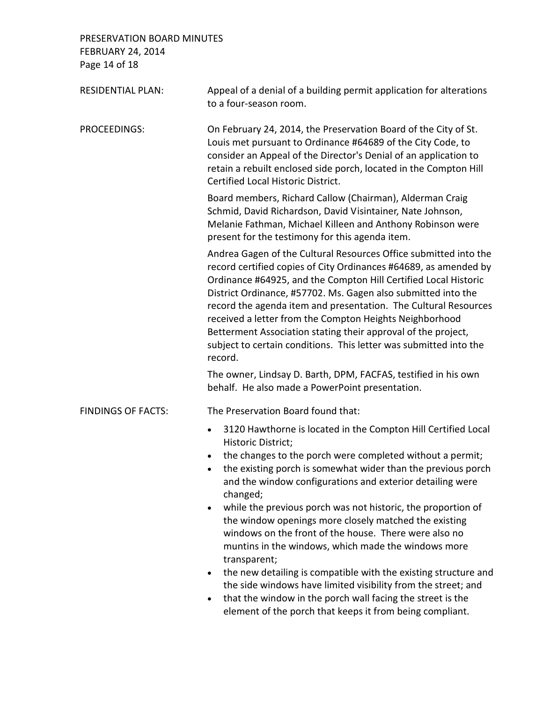PRESERVATION BOARD MINUTES FEBRUARY 24, 2014 Page 14 of 18

| <b>RESIDENTIAL PLAN:</b>  | Appeal of a denial of a building permit application for alterations<br>to a four-season room.                                                                                                                                                                                                                                                                                                                                                                                                                                                                                                                                                                                                                                                                                                                                                                                                  |
|---------------------------|------------------------------------------------------------------------------------------------------------------------------------------------------------------------------------------------------------------------------------------------------------------------------------------------------------------------------------------------------------------------------------------------------------------------------------------------------------------------------------------------------------------------------------------------------------------------------------------------------------------------------------------------------------------------------------------------------------------------------------------------------------------------------------------------------------------------------------------------------------------------------------------------|
| PROCEEDINGS:              | On February 24, 2014, the Preservation Board of the City of St.<br>Louis met pursuant to Ordinance #64689 of the City Code, to<br>consider an Appeal of the Director's Denial of an application to<br>retain a rebuilt enclosed side porch, located in the Compton Hill<br>Certified Local Historic District.                                                                                                                                                                                                                                                                                                                                                                                                                                                                                                                                                                                  |
|                           | Board members, Richard Callow (Chairman), Alderman Craig<br>Schmid, David Richardson, David Visintainer, Nate Johnson,<br>Melanie Fathman, Michael Killeen and Anthony Robinson were<br>present for the testimony for this agenda item.                                                                                                                                                                                                                                                                                                                                                                                                                                                                                                                                                                                                                                                        |
|                           | Andrea Gagen of the Cultural Resources Office submitted into the<br>record certified copies of City Ordinances #64689, as amended by<br>Ordinance #64925, and the Compton Hill Certified Local Historic<br>District Ordinance, #57702. Ms. Gagen also submitted into the<br>record the agenda item and presentation. The Cultural Resources<br>received a letter from the Compton Heights Neighborhood<br>Betterment Association stating their approval of the project,<br>subject to certain conditions. This letter was submitted into the<br>record.                                                                                                                                                                                                                                                                                                                                        |
|                           | The owner, Lindsay D. Barth, DPM, FACFAS, testified in his own<br>behalf. He also made a PowerPoint presentation.                                                                                                                                                                                                                                                                                                                                                                                                                                                                                                                                                                                                                                                                                                                                                                              |
| <b>FINDINGS OF FACTS:</b> | The Preservation Board found that:                                                                                                                                                                                                                                                                                                                                                                                                                                                                                                                                                                                                                                                                                                                                                                                                                                                             |
|                           | 3120 Hawthorne is located in the Compton Hill Certified Local<br>$\bullet$<br>Historic District;<br>the changes to the porch were completed without a permit;<br>$\bullet$<br>the existing porch is somewhat wider than the previous porch<br>$\bullet$<br>and the window configurations and exterior detailing were<br>changed;<br>while the previous porch was not historic, the proportion of<br>$\bullet$<br>the window openings more closely matched the existing<br>windows on the front of the house. There were also no<br>muntins in the windows, which made the windows more<br>transparent;<br>the new detailing is compatible with the existing structure and<br>$\bullet$<br>the side windows have limited visibility from the street; and<br>that the window in the porch wall facing the street is the<br>$\bullet$<br>element of the porch that keeps it from being compliant. |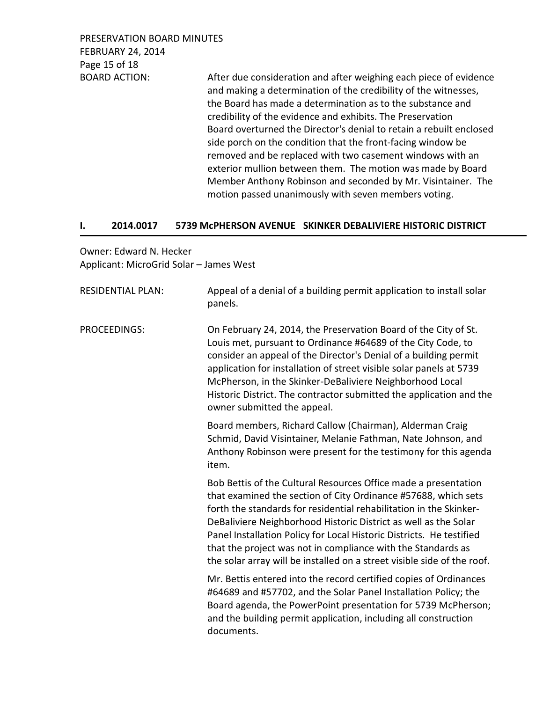PRESERVATION BOARD MINUTES FEBRUARY 24, 2014 Page 15 of 18

BOARD ACTION: After due consideration and after weighing each piece of evidence and making a determination of the credibility of the witnesses, the Board has made a determination as to the substance and credibility of the evidence and exhibits. The Preservation Board overturned the Director's denial to retain a rebuilt enclosed side porch on the condition that the front-facing window be removed and be replaced with two casement windows with an exterior mullion between them. The motion was made by Board Member Anthony Robinson and seconded by Mr. Visintainer. The motion passed unanimously with seven members voting.

#### **I. 2014.0017 5739 McPHERSON AVENUE SKINKER DEBALIVIERE HISTORIC DISTRICT**

## Owner: Edward N. Hecker Applicant: MicroGrid Solar – James West

| <b>RESIDENTIAL PLAN:</b> | Appeal of a denial of a building permit application to install solar<br>panels.                                                                                                                                                                                                                                                                                                                                                                                                               |
|--------------------------|-----------------------------------------------------------------------------------------------------------------------------------------------------------------------------------------------------------------------------------------------------------------------------------------------------------------------------------------------------------------------------------------------------------------------------------------------------------------------------------------------|
| <b>PROCEEDINGS:</b>      | On February 24, 2014, the Preservation Board of the City of St.<br>Louis met, pursuant to Ordinance #64689 of the City Code, to<br>consider an appeal of the Director's Denial of a building permit<br>application for installation of street visible solar panels at 5739<br>McPherson, in the Skinker-DeBaliviere Neighborhood Local<br>Historic District. The contractor submitted the application and the<br>owner submitted the appeal.                                                  |
|                          | Board members, Richard Callow (Chairman), Alderman Craig<br>Schmid, David Visintainer, Melanie Fathman, Nate Johnson, and<br>Anthony Robinson were present for the testimony for this agenda<br>item.                                                                                                                                                                                                                                                                                         |
|                          | Bob Bettis of the Cultural Resources Office made a presentation<br>that examined the section of City Ordinance #57688, which sets<br>forth the standards for residential rehabilitation in the Skinker-<br>DeBaliviere Neighborhood Historic District as well as the Solar<br>Panel Installation Policy for Local Historic Districts. He testified<br>that the project was not in compliance with the Standards as<br>the solar array will be installed on a street visible side of the roof. |
|                          | Mr. Bettis entered into the record certified copies of Ordinances<br>#64689 and #57702, and the Solar Panel Installation Policy; the<br>Board agenda, the PowerPoint presentation for 5739 McPherson;<br>and the building permit application, including all construction<br>documents.                                                                                                                                                                                                        |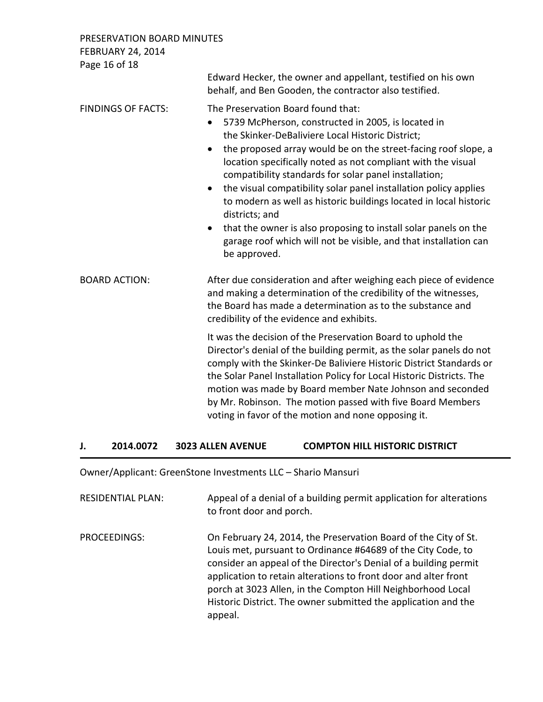PRESERVATION BOARD MINUTES FEBRUARY 24, 2014

| Edward Hecker, the owner and appellant, testified on his own<br>behalf, and Ben Gooden, the contractor also testified.                                                                                                                                                                                                                                                                                                                                                                                                                                                                                                                                                                                        |
|---------------------------------------------------------------------------------------------------------------------------------------------------------------------------------------------------------------------------------------------------------------------------------------------------------------------------------------------------------------------------------------------------------------------------------------------------------------------------------------------------------------------------------------------------------------------------------------------------------------------------------------------------------------------------------------------------------------|
| The Preservation Board found that:<br>5739 McPherson, constructed in 2005, is located in<br>$\bullet$<br>the Skinker-DeBaliviere Local Historic District;<br>the proposed array would be on the street-facing roof slope, a<br>$\bullet$<br>location specifically noted as not compliant with the visual<br>compatibility standards for solar panel installation;<br>the visual compatibility solar panel installation policy applies<br>$\bullet$<br>to modern as well as historic buildings located in local historic<br>districts; and<br>that the owner is also proposing to install solar panels on the<br>$\bullet$<br>garage roof which will not be visible, and that installation can<br>be approved. |
| After due consideration and after weighing each piece of evidence<br>and making a determination of the credibility of the witnesses,<br>the Board has made a determination as to the substance and<br>credibility of the evidence and exhibits.                                                                                                                                                                                                                                                                                                                                                                                                                                                               |
| It was the decision of the Preservation Board to uphold the<br>Director's denial of the building permit, as the solar panels do not<br>comply with the Skinker-De Baliviere Historic District Standards or<br>the Solar Panel Installation Policy for Local Historic Districts. The<br>motion was made by Board member Nate Johnson and seconded<br>by Mr. Robinson. The motion passed with five Board Members<br>voting in favor of the motion and none opposing it.                                                                                                                                                                                                                                         |
|                                                                                                                                                                                                                                                                                                                                                                                                                                                                                                                                                                                                                                                                                                               |

## **J. 2014.0072 3023 ALLEN AVENUE COMPTON HILL HISTORIC DISTRICT**

Owner/Applicant: GreenStone Investments LLC – Shario Mansuri

| <b>RESIDENTIAL PLAN:</b> | Appeal of a denial of a building permit application for alterations<br>to front door and porch.                                                                                                                                                                                                                                                                                                                    |
|--------------------------|--------------------------------------------------------------------------------------------------------------------------------------------------------------------------------------------------------------------------------------------------------------------------------------------------------------------------------------------------------------------------------------------------------------------|
| PROCEEDINGS:             | On February 24, 2014, the Preservation Board of the City of St.<br>Louis met, pursuant to Ordinance #64689 of the City Code, to<br>consider an appeal of the Director's Denial of a building permit<br>application to retain alterations to front door and alter front<br>porch at 3023 Allen, in the Compton Hill Neighborhood Local<br>Historic District. The owner submitted the application and the<br>appeal. |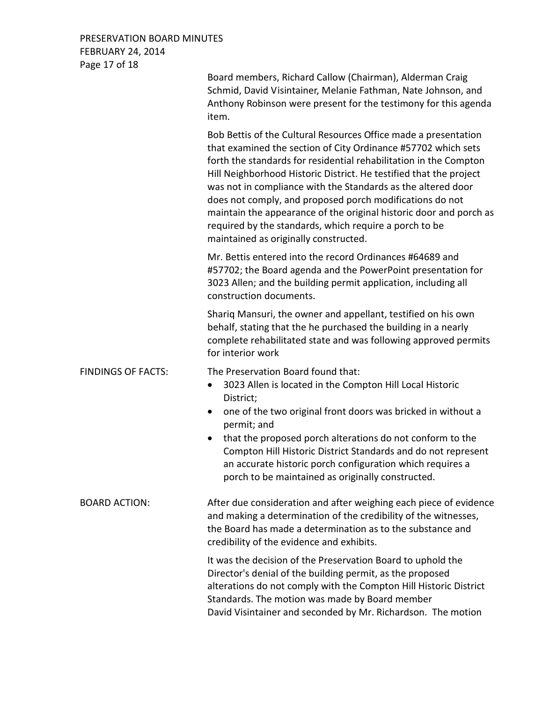## PRESERVATION BOARD MINUTES FEBRUARY 24, 2014 Page 17 of 18

Board members, Richard Callow (Chairman), Alderman Craig Schmid, David Visintainer, Melanie Fathman, Nate Johnson, and Anthony Robinson were present for the testimony for this agenda item.

Bob Bettis of the Cultural Resources Office made a presentation that examined the section of City Ordinance #57702 which sets forth the standards for residential rehabilitation in the Compton Hill Neighborhood Historic District. He testified that the project was not in compliance with the Standards as the altered door does not comply, and proposed porch modifications do not maintain the appearance of the original historic door and porch as required by the standards, which require a porch to be maintained as originally constructed.

Mr. Bettis entered into the record Ordinances #64689 and #57702; the Board agenda and the PowerPoint presentation for 3023 Allen; and the building permit application, including all construction documents.

Shariq Mansuri, the owner and appellant, testified on his own behalf, stating that the he purchased the building in a nearly complete rehabilitated state and was following approved permits for interior work

FINDINGS OF FACTS: The Preservation Board found that:

- 3023 Allen is located in the Compton Hill Local Historic District;
- one of the two original front doors was bricked in without a permit; and
- that the proposed porch alterations do not conform to the Compton Hill Historic District Standards and do not represent an accurate historic porch configuration which requires a porch to be maintained as originally constructed.

BOARD ACTION: After due consideration and after weighing each piece of evidence and making a determination of the credibility of the witnesses, the Board has made a determination as to the substance and credibility of the evidence and exhibits.

> It was the decision of the Preservation Board to uphold the Director's denial of the building permit, as the proposed alterations do not comply with the Compton Hill Historic District Standards. The motion was made by Board member David Visintainer and seconded by Mr. Richardson. The motion